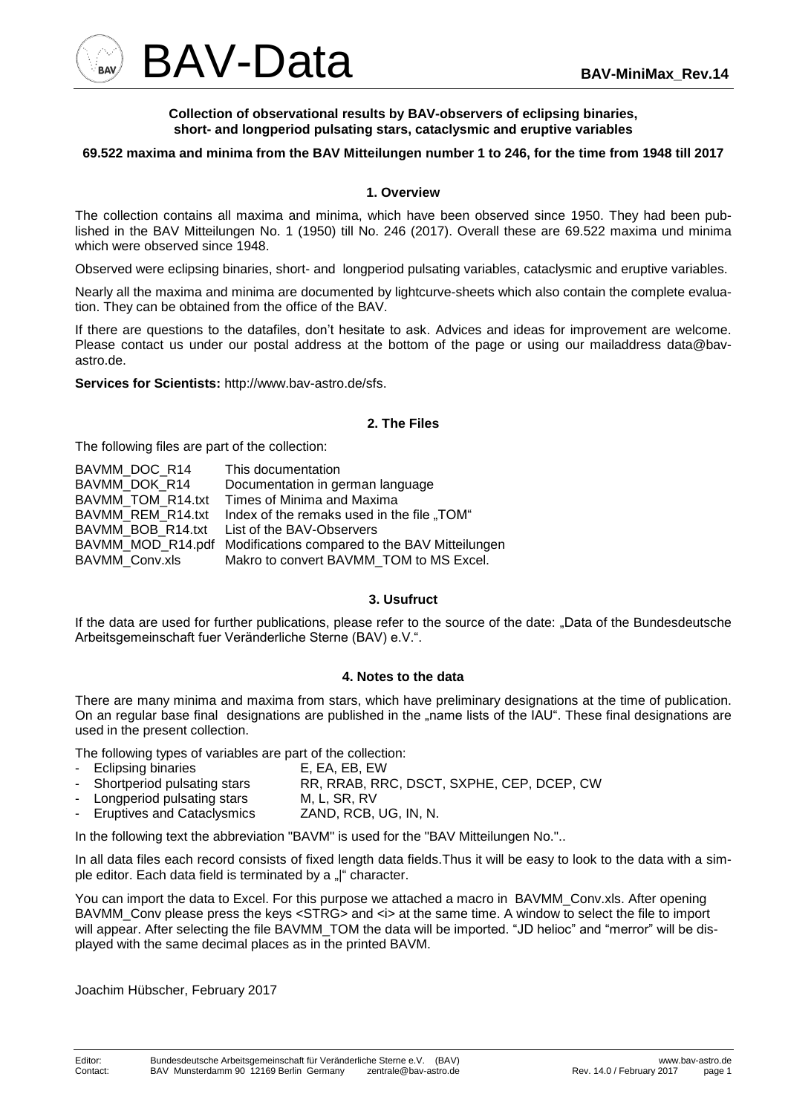

#### **Collection of observational results by BAV-observers of eclipsing binaries, short- and longperiod pulsating stars, cataclysmic and eruptive variables**

## **69.522 maxima and minima from the BAV Mitteilungen number 1 to 246, for the time from 1948 till 2017**

#### **1. Overview**

The collection contains all maxima and minima, which have been observed since 1950. They had been published in the BAV Mitteilungen No. 1 (1950) till No. 246 (2017). Overall these are 69.522 maxima und minima which were observed since 1948.

Observed were eclipsing binaries, short- and longperiod pulsating variables, cataclysmic and eruptive variables.

Nearly all the maxima and minima are documented by lightcurve-sheets which also contain the complete evaluation. They can be obtained from the office of the BAV.

If there are questions to the datafiles, don't hesitate to ask. Advices and ideas for improvement are welcome. Please contact us under our postal address at the bottom of the page or using our mailaddress data@bavastro.de.

**Services for Scientists:** http://www.bav-astro.de/sfs.

## **2. The Files**

The following files are part of the collection:

| BAVMM DOC R14     | This documentation                                               |
|-------------------|------------------------------------------------------------------|
| BAVMM DOK R14     | Documentation in german language                                 |
| BAVMM TOM R14.txt | Times of Minima and Maxima                                       |
|                   | BAVMM REM R14.txt Index of the remaks used in the file "TOM"     |
|                   | BAVMM BOB R14.txt List of the BAV-Observers                      |
|                   | BAVMM_MOD_R14.pdf Modifications compared to the BAV Mitteilungen |
| BAVMM Conv.xls    | Makro to convert BAVMM_TOM to MS Excel.                          |
|                   |                                                                  |

# **3. Usufruct**

If the data are used for further publications, please refer to the source of the date: "Data of the Bundesdeutsche Arbeitsgemeinschaft fuer Veränderliche Sterne (BAV) e.V.".

## **4. Notes to the data**

There are many minima and maxima from stars, which have preliminary designations at the time of publication. On an regular base final designations are published in the "name lists of the IAU". These final designations are used in the present collection.

The following types of variables are part of the collection:

- Eclipsing binaries E, EA, EB, EW
- Shortperiod pulsating stars RR, RRAB, RRC, DSCT, SXPHE, CEP, DCEP, CW
- Longperiod pulsating stars M, L, SR, RV
- Eruptives and Cataclysmics ZAND, RCB, UG, IN, N.

In the following text the abbreviation "BAVM" is used for the "BAV Mitteilungen No."..

In all data files each record consists of fixed length data fields.Thus it will be easy to look to the data with a simple editor. Each data field is terminated by a "|" character.

You can import the data to Excel. For this purpose we attached a macro in BAVMM\_Conv.xls. After opening BAVMM\_Conv please press the keys <STRG> and <i> at the same time. A window to select the file to import will appear. After selecting the file BAVMM\_TOM the data will be imported. "JD helioc" and "merror" will be displayed with the same decimal places as in the printed BAVM.

Joachim Hübscher, February 2017